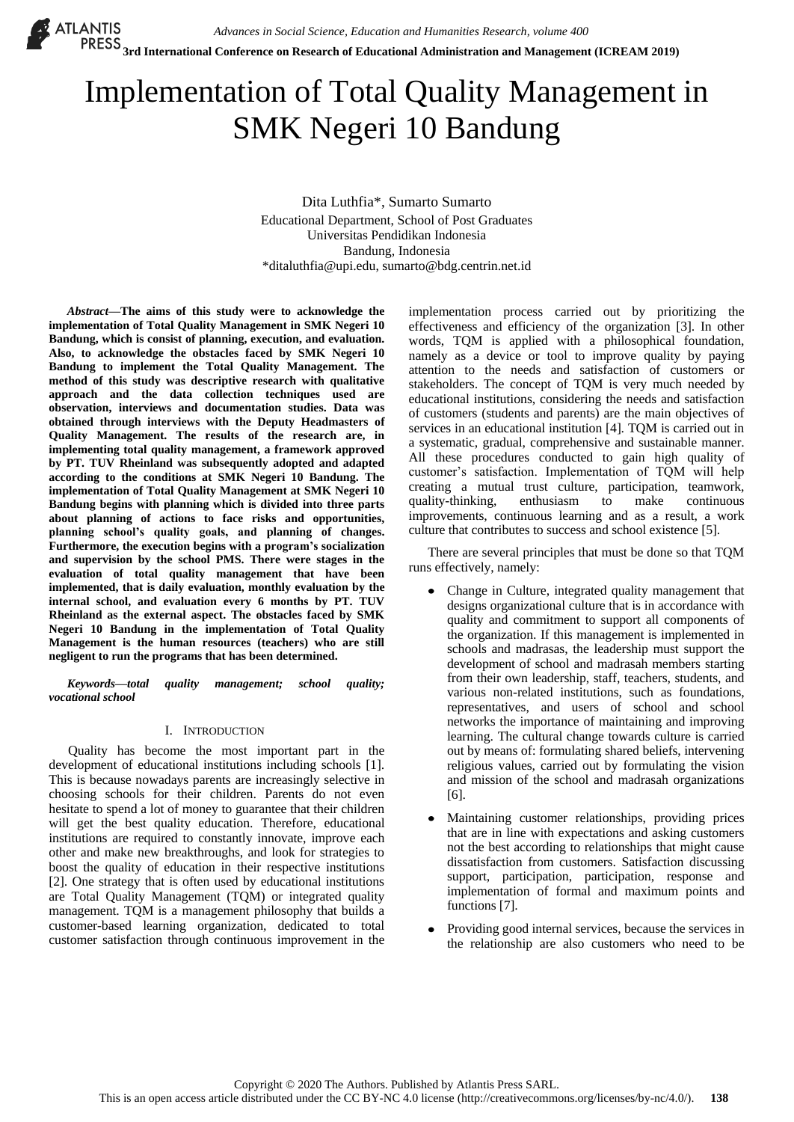# Implementation of Total Quality Management in SMK Negeri 10 Bandung

Dita Luthfia\*, Sumarto Sumarto Educational Department, School of Post Graduates Universitas Pendidikan Indonesia Bandung, Indonesia [\\*ditaluthfia@upi.edu,](mailto:ditaluthfia@upi.edu) sumarto@bdg.centrin.net.id

*Abstract***—The aims of this study were to acknowledge the implementation of Total Quality Management in SMK Negeri 10 Bandung, which is consist of planning, execution, and evaluation. Also, to acknowledge the obstacles faced by SMK Negeri 10 Bandung to implement the Total Quality Management. The method of this study was descriptive research with qualitative approach and the data collection techniques used are observation, interviews and documentation studies. Data was obtained through interviews with the Deputy Headmasters of Quality Management. The results of the research are, in implementing total quality management, a framework approved by PT. TUV Rheinland was subsequently adopted and adapted according to the conditions at SMK Negeri 10 Bandung. The implementation of Total Quality Management at SMK Negeri 10 Bandung begins with planning which is divided into three parts about planning of actions to face risks and opportunities, planning school's quality goals, and planning of changes. Furthermore, the execution begins with a program's socialization and supervision by the school PMS. There were stages in the evaluation of total quality management that have been implemented, that is daily evaluation, monthly evaluation by the internal school, and evaluation every 6 months by PT. TUV Rheinland as the external aspect. The obstacles faced by SMK Negeri 10 Bandung in the implementation of Total Quality Management is the human resources (teachers) who are still negligent to run the programs that has been determined.**

*Keywords—total quality management; school quality; vocational school*

# I. INTRODUCTION

Quality has become the most important part in the development of educational institutions including schools [1]. This is because nowadays parents are increasingly selective in choosing schools for their children. Parents do not even hesitate to spend a lot of money to guarantee that their children will get the best quality education. Therefore, educational institutions are required to constantly innovate, improve each other and make new breakthroughs, and look for strategies to boost the quality of education in their respective institutions [2]. One strategy that is often used by educational institutions are Total Quality Management (TQM) or integrated quality management. TQM is a management philosophy that builds a customer-based learning organization, dedicated to total customer satisfaction through continuous improvement in the

implementation process carried out by prioritizing the effectiveness and efficiency of the organization [3]. In other words, TQM is applied with a philosophical foundation, namely as a device or tool to improve quality by paying attention to the needs and satisfaction of customers or stakeholders. The concept of TQM is very much needed by educational institutions, considering the needs and satisfaction of customers (students and parents) are the main objectives of services in an educational institution [4]. TQM is carried out in a systematic, gradual, comprehensive and sustainable manner. All these procedures conducted to gain high quality of customer's satisfaction. Implementation of TQM will help creating a mutual trust culture, participation, teamwork, quality-thinking, enthusiasm to make continuous improvements, continuous learning and as a result, a work culture that contributes to success and school existence [5].

There are several principles that must be done so that TQM runs effectively, namely:

- Change in Culture, integrated quality management that designs organizational culture that is in accordance with quality and commitment to support all components of the organization. If this management is implemented in schools and madrasas, the leadership must support the development of school and madrasah members starting from their own leadership, staff, teachers, students, and various non-related institutions, such as foundations, representatives, and users of school and school networks the importance of maintaining and improving learning. The cultural change towards culture is carried out by means of: formulating shared beliefs, intervening religious values, carried out by formulating the vision and mission of the school and madrasah organizations [6].
- Maintaining customer relationships, providing prices that are in line with expectations and asking customers not the best according to relationships that might cause dissatisfaction from customers. Satisfaction discussing support, participation, participation, response and implementation of formal and maximum points and functions [7].
- Providing good internal services, because the services in the relationship are also customers who need to be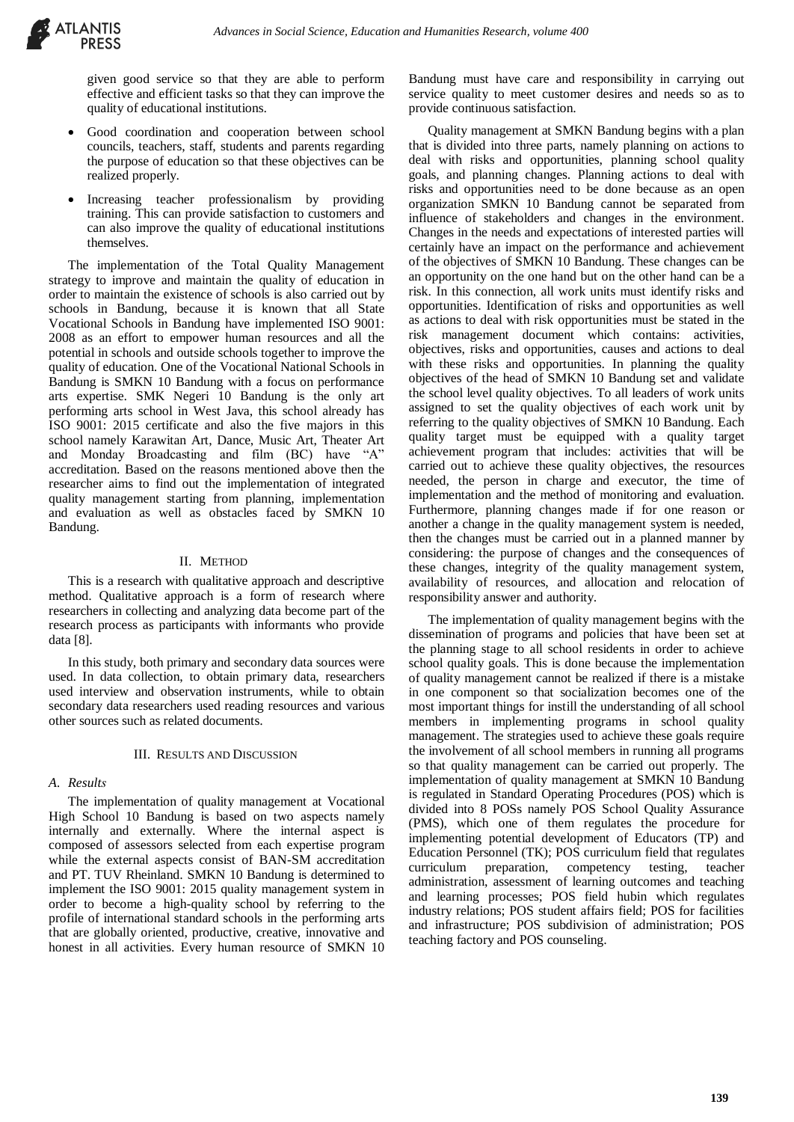given good service so that they are able to perform effective and efficient tasks so that they can improve the quality of educational institutions.

- Good coordination and cooperation between school councils, teachers, staff, students and parents regarding the purpose of education so that these objectives can be realized properly.
- Increasing teacher professionalism by providing training. This can provide satisfaction to customers and can also improve the quality of educational institutions themselves.

The implementation of the Total Quality Management strategy to improve and maintain the quality of education in order to maintain the existence of schools is also carried out by schools in Bandung, because it is known that all State Vocational Schools in Bandung have implemented ISO 9001: 2008 as an effort to empower human resources and all the potential in schools and outside schools together to improve the quality of education. One of the Vocational National Schools in Bandung is SMKN 10 Bandung with a focus on performance arts expertise. SMK Negeri 10 Bandung is the only art performing arts school in West Java, this school already has ISO 9001: 2015 certificate and also the five majors in this school namely Karawitan Art, Dance, Music Art, Theater Art and Monday Broadcasting and film (BC) have "A" accreditation. Based on the reasons mentioned above then the researcher aims to find out the implementation of integrated quality management starting from planning, implementation and evaluation as well as obstacles faced by SMKN 10 Bandung.

### II. METHOD

This is a research with qualitative approach and descriptive method. Qualitative approach is a form of research where researchers in collecting and analyzing data become part of the research process as participants with informants who provide data [8].

In this study, both primary and secondary data sources were used. In data collection, to obtain primary data, researchers used interview and observation instruments, while to obtain secondary data researchers used reading resources and various other sources such as related documents.

#### III. RESULTS AND DISCUSSION

# *A. Results*

The implementation of quality management at Vocational High School 10 Bandung is based on two aspects namely internally and externally. Where the internal aspect is composed of assessors selected from each expertise program while the external aspects consist of BAN-SM accreditation and PT. TUV Rheinland. SMKN 10 Bandung is determined to implement the ISO 9001: 2015 quality management system in order to become a high-quality school by referring to the profile of international standard schools in the performing arts that are globally oriented, productive, creative, innovative and honest in all activities. Every human resource of SMKN 10

Bandung must have care and responsibility in carrying out service quality to meet customer desires and needs so as to provide continuous satisfaction.

Quality management at SMKN Bandung begins with a plan that is divided into three parts, namely planning on actions to deal with risks and opportunities, planning school quality goals, and planning changes. Planning actions to deal with risks and opportunities need to be done because as an open organization SMKN 10 Bandung cannot be separated from influence of stakeholders and changes in the environment. Changes in the needs and expectations of interested parties will certainly have an impact on the performance and achievement of the objectives of SMKN 10 Bandung. These changes can be an opportunity on the one hand but on the other hand can be a risk. In this connection, all work units must identify risks and opportunities. Identification of risks and opportunities as well as actions to deal with risk opportunities must be stated in the risk management document which contains: activities, objectives, risks and opportunities, causes and actions to deal with these risks and opportunities. In planning the quality objectives of the head of SMKN 10 Bandung set and validate the school level quality objectives. To all leaders of work units assigned to set the quality objectives of each work unit by referring to the quality objectives of SMKN 10 Bandung. Each quality target must be equipped with a quality target achievement program that includes: activities that will be carried out to achieve these quality objectives, the resources needed, the person in charge and executor, the time of implementation and the method of monitoring and evaluation. Furthermore, planning changes made if for one reason or another a change in the quality management system is needed, then the changes must be carried out in a planned manner by considering: the purpose of changes and the consequences of these changes, integrity of the quality management system, availability of resources, and allocation and relocation of responsibility answer and authority.

The implementation of quality management begins with the dissemination of programs and policies that have been set at the planning stage to all school residents in order to achieve school quality goals. This is done because the implementation of quality management cannot be realized if there is a mistake in one component so that socialization becomes one of the most important things for instill the understanding of all school members in implementing programs in school quality management. The strategies used to achieve these goals require the involvement of all school members in running all programs so that quality management can be carried out properly. The implementation of quality management at SMKN 10 Bandung is regulated in Standard Operating Procedures (POS) which is divided into 8 POSs namely POS School Quality Assurance (PMS), which one of them regulates the procedure for implementing potential development of Educators (TP) and Education Personnel (TK); POS curriculum field that regulates curriculum preparation, competency testing, teacher administration, assessment of learning outcomes and teaching and learning processes; POS field hubin which regulates industry relations; POS student affairs field; POS for facilities and infrastructure; POS subdivision of administration; POS teaching factory and POS counseling.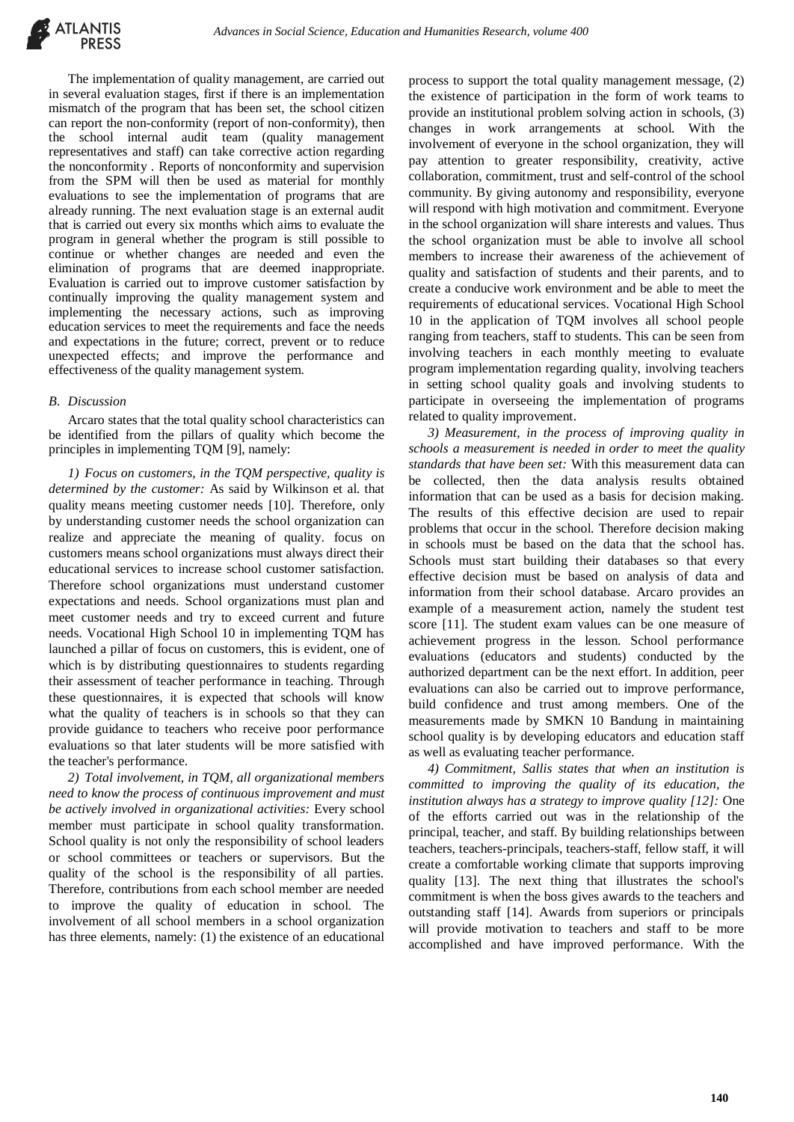The implementation of quality management, are carried out in several evaluation stages, first if there is an implementation mismatch of the program that has been set, the school citizen can report the non-conformity (report of non-conformity), then the school internal audit team (quality management representatives and staff) can take corrective action regarding the nonconformity . Reports of nonconformity and supervision from the SPM will then be used as material for monthly evaluations to see the implementation of programs that are already running. The next evaluation stage is an external audit that is carried out every six months which aims to evaluate the program in general whether the program is still possible to continue or whether changes are needed and even the elimination of programs that are deemed inappropriate. Evaluation is carried out to improve customer satisfaction by continually improving the quality management system and implementing the necessary actions, such as improving education services to meet the requirements and face the needs and expectations in the future; correct, prevent or to reduce unexpected effects; and improve the performance and effectiveness of the quality management system.

# *B. Discussion*

Arcaro states that the total quality school characteristics can be identified from the pillars of quality which become the principles in implementing TQM [9], namely:

*1) Focus on customers, in the TQM perspective, quality is determined by the customer:* As said by Wilkinson et al. that quality means meeting customer needs [10]. Therefore, only by understanding customer needs the school organization can realize and appreciate the meaning of quality. focus on customers means school organizations must always direct their educational services to increase school customer satisfaction. Therefore school organizations must understand customer expectations and needs. School organizations must plan and meet customer needs and try to exceed current and future needs. Vocational High School 10 in implementing TQM has launched a pillar of focus on customers, this is evident, one of which is by distributing questionnaires to students regarding their assessment of teacher performance in teaching. Through these questionnaires, it is expected that schools will know what the quality of teachers is in schools so that they can provide guidance to teachers who receive poor performance evaluations so that later students will be more satisfied with the teacher's performance.

*2) Total involvement, in TQM, all organizational members need to know the process of continuous improvement and must be actively involved in organizational activities:* Every school member must participate in school quality transformation. School quality is not only the responsibility of school leaders or school committees or teachers or supervisors. But the quality of the school is the responsibility of all parties. Therefore, contributions from each school member are needed to improve the quality of education in school. The involvement of all school members in a school organization has three elements, namely: (1) the existence of an educational

process to support the total quality management message, (2) the existence of participation in the form of work teams to provide an institutional problem solving action in schools, (3) changes in work arrangements at school. With the involvement of everyone in the school organization, they will pay attention to greater responsibility, creativity, active collaboration, commitment, trust and self-control of the school community. By giving autonomy and responsibility, everyone will respond with high motivation and commitment. Everyone in the school organization will share interests and values. Thus the school organization must be able to involve all school members to increase their awareness of the achievement of quality and satisfaction of students and their parents, and to create a conducive work environment and be able to meet the requirements of educational services. Vocational High School 10 in the application of TQM involves all school people ranging from teachers, staff to students. This can be seen from involving teachers in each monthly meeting to evaluate program implementation regarding quality, involving teachers in setting school quality goals and involving students to participate in overseeing the implementation of programs related to quality improvement.

*3) Measurement, in the process of improving quality in schools a measurement is needed in order to meet the quality standards that have been set:* With this measurement data can be collected, then the data analysis results obtained information that can be used as a basis for decision making. The results of this effective decision are used to repair problems that occur in the school. Therefore decision making in schools must be based on the data that the school has. Schools must start building their databases so that every effective decision must be based on analysis of data and information from their school database. Arcaro provides an example of a measurement action, namely the student test score [11]. The student exam values can be one measure of achievement progress in the lesson. School performance evaluations (educators and students) conducted by the authorized department can be the next effort. In addition, peer evaluations can also be carried out to improve performance, build confidence and trust among members. One of the measurements made by SMKN 10 Bandung in maintaining school quality is by developing educators and education staff as well as evaluating teacher performance*.*

*4) Commitment, Sallis states that when an institution is committed to improving the quality of its education, the institution always has a strategy to improve quality [12]:* One of the efforts carried out was in the relationship of the principal, teacher, and staff. By building relationships between teachers, teachers-principals, teachers-staff, fellow staff, it will create a comfortable working climate that supports improving quality [13]. The next thing that illustrates the school's commitment is when the boss gives awards to the teachers and outstanding staff [14]. Awards from superiors or principals will provide motivation to teachers and staff to be more accomplished and have improved performance. With the